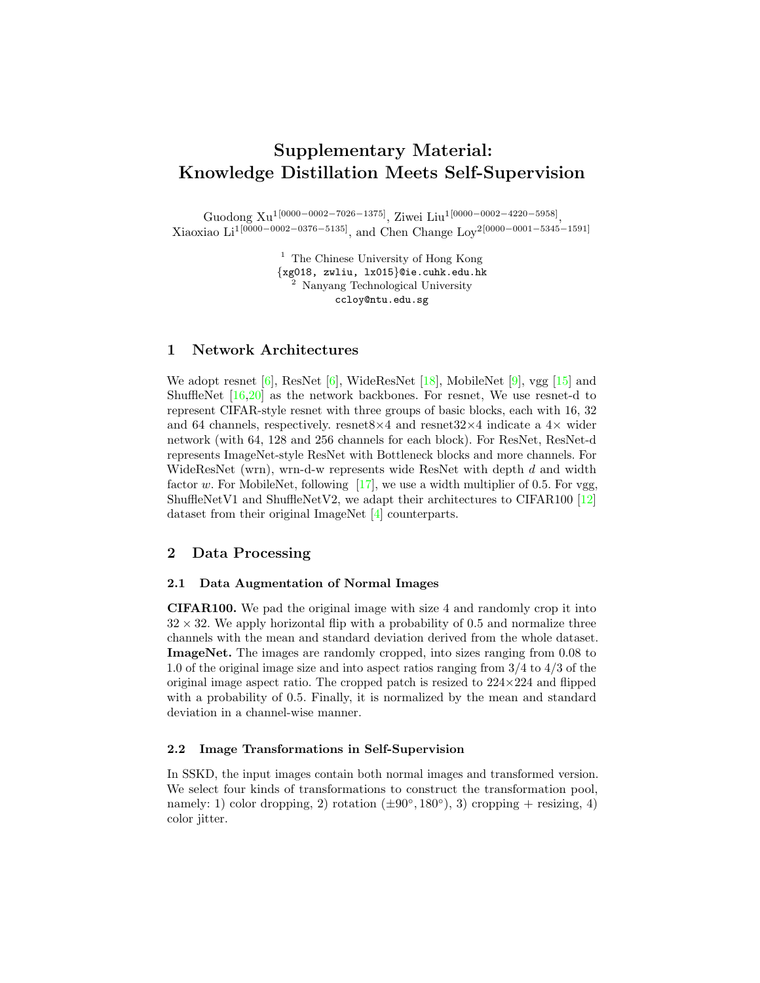# <span id="page-0-1"></span>Supplementary Material: Knowledge Distillation Meets Self-Supervision

Guodong Xu<sup>1</sup>[0000−0002−7026−1375], Ziwei Liu<sup>1</sup>[0000−0002−4220−5958], Xiaoxiao Li<sup>1</sup>[0000−0002−0376−5135], and Chen Change Loy<sup>2</sup>[0000−0001−5345−1591]

> $^{\rm 1}$  The Chinese University of Hong Kong {xg018, zwliu, lx015}@ie.cuhk.edu.hk <sup>2</sup> Nanyang Technological University ccloy@ntu.edu.sg

### 1 Network Architectures

We adopt resnet  $[6]$ , ResNet  $[6]$ , WideResNet  $[18]$ , MobileNet  $[9]$ , vgg  $[15]$  and ShuffleNet  $[16,20]$  $[16,20]$  as the network backbones. For resnet, We use resnet-d to represent CIFAR-style resnet with three groups of basic blocks, each with 16, 32 and 64 channels, respectively. resnet  $8\times4$  and resnet  $32\times4$  indicate a  $4\times$  wider network (with 64, 128 and 256 channels for each block). For ResNet, ResNet-d represents ImageNet-style ResNet with Bottleneck blocks and more channels. For WideResNet (wrn), wrn-d-w represents wide ResNet with depth d and width factor w. For MobileNet, following  $[17]$ , we use a width multiplier of 0.5. For vgg, ShuffleNetV1 and ShuffleNetV2, we adapt their architectures to CIFAR100 [\[12\]](#page-4-7) dataset from their original ImageNet [\[4\]](#page-4-8) counterparts.

## 2 Data Processing

#### 2.1 Data Augmentation of Normal Images

CIFAR100. We pad the original image with size 4 and randomly crop it into  $32 \times 32$ . We apply horizontal flip with a probability of 0.5 and normalize three channels with the mean and standard deviation derived from the whole dataset. ImageNet. The images are randomly cropped, into sizes ranging from 0.08 to 1.0 of the original image size and into aspect ratios ranging from 3/4 to 4/3 of the original image aspect ratio. The cropped patch is resized to  $224 \times 224$  and flipped with a probability of 0.5. Finally, it is normalized by the mean and standard deviation in a channel-wise manner.

#### <span id="page-0-0"></span>2.2 Image Transformations in Self-Supervision

In SSKD, the input images contain both normal images and transformed version. We select four kinds of transformations to construct the transformation pool, namely: 1) color dropping, 2) rotation  $(\pm 90^\circ, 180^\circ)$ , 3) cropping + resizing, 4) color jitter.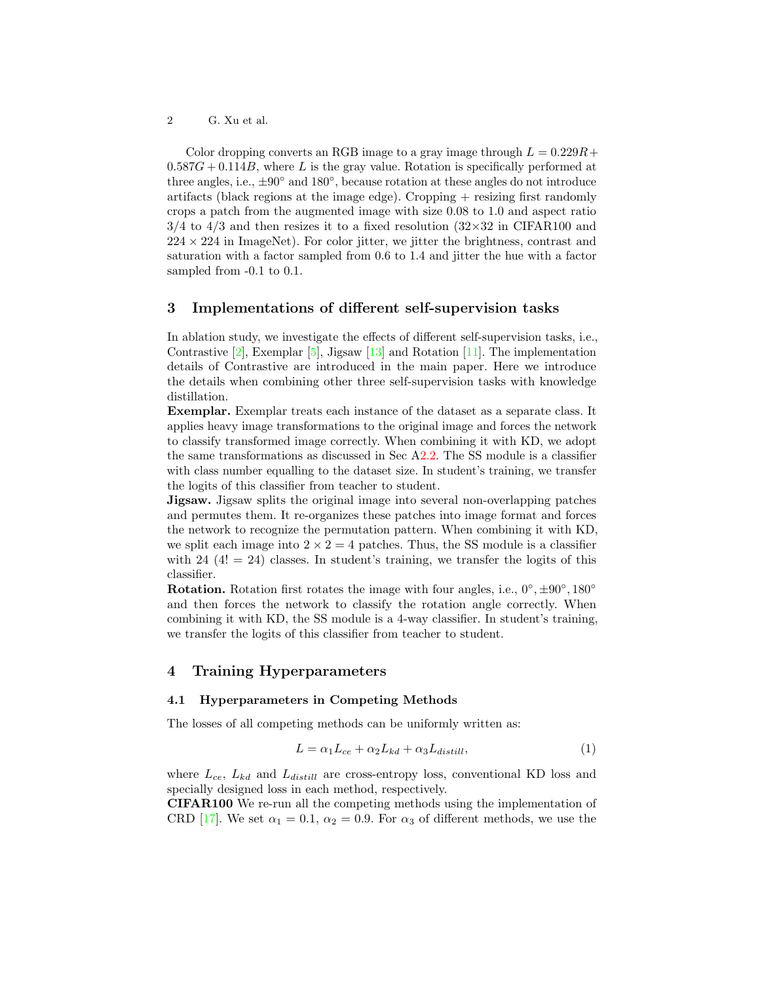<span id="page-1-0"></span>2 G. Xu et al.

Color dropping converts an RGB image to a gray image through  $L = 0.229R +$  $0.587G + 0.114B$ , where L is the gray value. Rotation is specifically performed at three angles, i.e., ±90◦ and 180◦ , because rotation at these angles do not introduce artifacts (black regions at the image edge). Cropping + resizing first randomly crops a patch from the augmented image with size 0.08 to 1.0 and aspect ratio  $3/4$  to  $4/3$  and then resizes it to a fixed resolution  $(32\times32)$  in CIFAR100 and  $224 \times 224$  in ImageNet). For color jitter, we jitter the brightness, contrast and saturation with a factor sampled from 0.6 to 1.4 and jitter the hue with a factor sampled from  $-0.1$  to 0.1.

## 3 Implementations of different self-supervision tasks

In ablation study, we investigate the effects of different self-supervision tasks, i.e., Contrastive  $[2]$ , Exemplar  $[5]$ , Jigsaw  $[13]$  and Rotation  $[11]$ . The implementation details of Contrastive are introduced in the main paper. Here we introduce the details when combining other three self-supervision tasks with knowledge distillation.

Exemplar. Exemplar treats each instance of the dataset as a separate class. It applies heavy image transformations to the original image and forces the network to classify transformed image correctly. When combining it with KD, we adopt the same transformations as discussed in Sec  $A2.2$ . The SS module is a classifier with class number equalling to the dataset size. In student's training, we transfer the logits of this classifier from teacher to student.

Jigsaw. Jigsaw splits the original image into several non-overlapping patches and permutes them. It re-organizes these patches into image format and forces the network to recognize the permutation pattern. When combining it with KD, we split each image into  $2 \times 2 = 4$  patches. Thus, the SS module is a classifier with 24  $(4! = 24)$  classes. In student's training, we transfer the logits of this classifier.

**Rotation.** Rotation first rotates the image with four angles, i.e.,  $0^{\circ}$ ,  $\pm 90^{\circ}$ ,  $180^{\circ}$ and then forces the network to classify the rotation angle correctly. When combining it with KD, the SS module is a 4-way classifier. In student's training, we transfer the logits of this classifier from teacher to student.

## 4 Training Hyperparameters

#### 4.1 Hyperparameters in Competing Methods

The losses of all competing methods can be uniformly written as:

$$
L = \alpha_1 L_{ce} + \alpha_2 L_{kd} + \alpha_3 L_{distill},\tag{1}
$$

where  $L_{ce}$ ,  $L_{kd}$  and  $L_{distill}$  are cross-entropy loss, conventional KD loss and specially designed loss in each method, respectively.

CIFAR100 We re-run all the competing methods using the implementation of CRD [\[17\]](#page-4-6). We set  $\alpha_1 = 0.1$ ,  $\alpha_2 = 0.9$ . For  $\alpha_3$  of different methods, we use the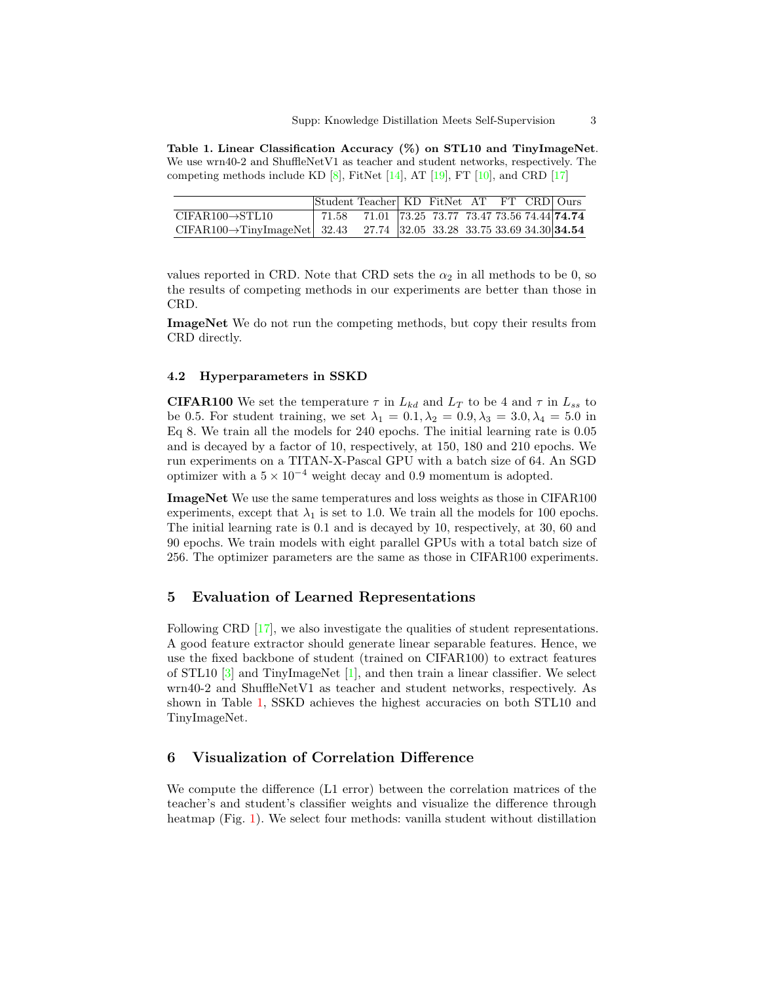<span id="page-2-1"></span><span id="page-2-0"></span>Table 1. Linear Classification Accuracy (%) on STL10 and TinyImageNet. We use wrn40-2 and ShuffleNetV1 as teacher and student networks, respectively. The competing methods include KD  $[8]$ , FitNet  $[14]$ , AT  $[19]$ , FT  $[10]$ , and CRD  $[17]$ 

|                                                                                     | Student Teacher KD FitNet AT FT CRD Ours |                                           |  |  |  |
|-------------------------------------------------------------------------------------|------------------------------------------|-------------------------------------------|--|--|--|
| $CIFAR100 \rightarrow STL10$                                                        | 171.58                                   | 71.01 73.25 73.77 73.47 73.56 74.44 74.74 |  |  |  |
| CIFAR100 $\rightarrow$ TinyImageNet 32.43 27.74 32.05 33.28 33.75 33.69 34.30 34.54 |                                          |                                           |  |  |  |

values reported in CRD. Note that CRD sets the  $\alpha_2$  in all methods to be 0, so the results of competing methods in our experiments are better than those in CRD.

ImageNet We do not run the competing methods, but copy their results from CRD directly.

#### 4.2 Hyperparameters in SSKD

**CIFAR100** We set the temperature  $\tau$  in  $L_{kd}$  and  $L_T$  to be 4 and  $\tau$  in  $L_{ss}$  to be 0.5. For student training, we set  $\lambda_1 = 0.1, \lambda_2 = 0.9, \lambda_3 = 3.0, \lambda_4 = 5.0$  in Eq 8. We train all the models for 240 epochs. The initial learning rate is 0.05 and is decayed by a factor of 10, respectively, at 150, 180 and 210 epochs. We run experiments on a TITAN-X-Pascal GPU with a batch size of 64. An SGD optimizer with a  $5 \times 10^{-4}$  weight decay and 0.9 momentum is adopted.

ImageNet We use the same temperatures and loss weights as those in CIFAR100 experiments, except that  $\lambda_1$  is set to 1.0. We train all the models for 100 epochs. The initial learning rate is 0.1 and is decayed by 10, respectively, at 30, 60 and 90 epochs. We train models with eight parallel GPUs with a total batch size of 256. The optimizer parameters are the same as those in CIFAR100 experiments.

## 5 Evaluation of Learned Representations

Following CRD [\[17\]](#page-4-6), we also investigate the qualities of student representations. A good feature extractor should generate linear separable features. Hence, we use the fixed backbone of student (trained on CIFAR100) to extract features of STL10 [\[3\]](#page-4-17) and TinyImageNet [\[1\]](#page-4-18), and then train a linear classifier. We select wrn40-2 and ShuffleNetV1 as teacher and student networks, respectively. As shown in Table [1,](#page-2-0) SSKD achieves the highest accuracies on both STL10 and TinyImageNet.

## 6 Visualization of Correlation Difference

We compute the difference (L1 error) between the correlation matrices of the teacher's and student's classifier weights and visualize the difference through heatmap (Fig. [1\)](#page-3-0). We select four methods: vanilla student without distillation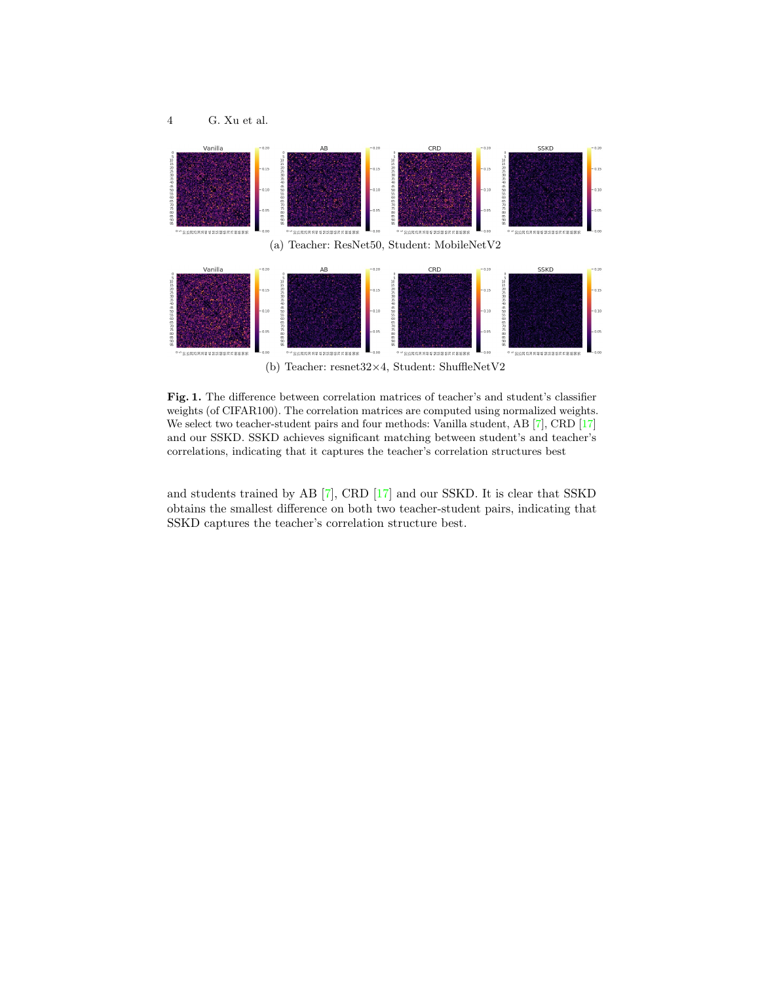<span id="page-3-1"></span>

<span id="page-3-0"></span>Fig. 1. The difference between correlation matrices of teacher's and student's classifier weights (of CIFAR100). The correlation matrices are computed using normalized weights. We select two teacher-student pairs and four methods: Vanilla student, AB [\[7\]](#page-4-19), CRD [\[17\]](#page-4-6) and our SSKD. SSKD achieves significant matching between student's and teacher's correlations, indicating that it captures the teacher's correlation structures best

and students trained by AB [\[7\]](#page-4-19), CRD [\[17\]](#page-4-6) and our SSKD. It is clear that SSKD obtains the smallest difference on both two teacher-student pairs, indicating that SSKD captures the teacher's correlation structure best.